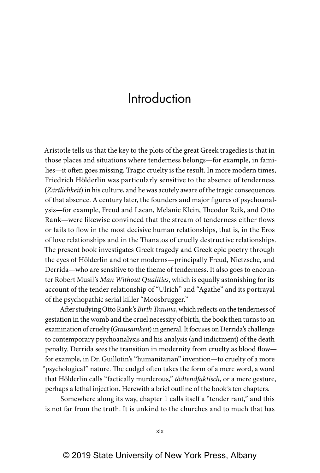## Introduction

Aristotle tells us that the key to the plots of the great Greek tragedies is that in those places and situations where tenderness belongs—for example, in families—it often goes missing. Tragic cruelty is the result. In more modern times, Friedrich Hölderlin was particularly sensitive to the absence of tenderness (*Zärtlichkeit*) in his culture, and he was acutely aware of the tragic consequences of that absence. A century later, the founders and major figures of psychoanalysis—for example, Freud and Lacan, Melanie Klein, Theodor Reik, and Otto Rank—were likewise convinced that the stream of tenderness either flows or fails to flow in the most decisive human relationships, that is, in the Eros of love relationships and in the Thanatos of cruelly destructive relationships. The present book investigates Greek tragedy and Greek epic poetry through the eyes of Hölderlin and other moderns—principally Freud, Nietzsche, and Derrida—who are sensitive to the theme of tenderness. It also goes to encounter Robert Musil's *Man Without Qualities*, which is equally astonishing for its account of the tender relationship of "Ulrich" and "Agathe" and its portrayal of the psychopathic serial killer "Moosbrugger."

After studying Otto Rank's *Birth Trauma*, which reflects on the tenderness of gestation in the womb and the cruel necessity of birth, the book then turns to an examination of cruelty (*Grausamkeit*) in general. It focuses on Derrida's challenge to contemporary psychoanalysis and his analysis (and indictment) of the death penalty. Derrida sees the transition in modernity from cruelty as blood flow for example, in Dr. Guillotin's "humanitarian" invention—to cruelty of a more "psychological" nature. The cudgel often takes the form of a mere word, a word that Hölderlin calls "factically murderous," *tödtendfaktisch*, or a mere gesture, perhaps a lethal injection. Herewith a brief outline of the book's ten chapters.

Somewhere along its way, chapter 1 calls itself a "tender rant," and this is not far from the truth. It is unkind to the churches and to much that has

xix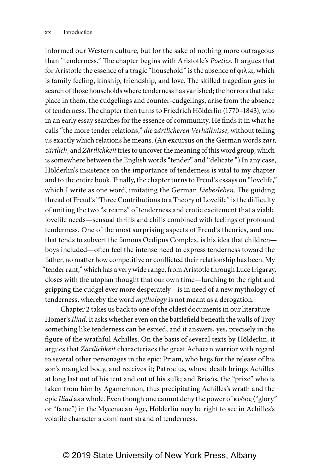informed our Western culture, but for the sake of nothing more outrageous than "tenderness." The chapter begins with Aristotle's *Poetics*. It argues that for Aristotle the essence of a tragic "household" is the absence of φιλία, which is family feeling, kinship, friendship, and love. The skilled tragedian goes in search of those households where tenderness has vanished; the horrors that take place in them, the cudgelings and counter- cudgelings, arise from the absence of tenderness. The chapter then turns to Friedrich Hölderlin (1770–1843), who in an early essay searches for the essence of community. He finds it in what he calls "the more tender relations," *die zärtlicheren Verhältnisse,* without telling us exactly which relations he means. (An excursus on the German words *zart, zärtlich,* and *Zärtlichkeit* tries to uncover the meaning of this word group, which is somewhere between the English words "tender" and "delicate.") In any case, Hölderlin's insistence on the importance of tenderness is vital to my chapter and to the entire book. Finally, the chapter turns to Freud's essays on "lovelife," which I write as one word, imitating the German *Liebesleben*. The guiding thread of Freud's "Three Contributions to a Theory of Lovelife" is the difficulty of uniting the two "streams" of tenderness and erotic excitement that a viable lovelife needs—sensual thrills and chills combined with feelings of profound tenderness. One of the most surprising aspects of Freud's theories, and one that tends to subvert the famous Oedipus Complex, is his idea that children boys included—often feel the intense need to express tenderness toward the father, no matter how competitive or conflicted their relationship has been. My "tender rant," which has a very wide range, from Aristotle through Luce Irigaray, closes with the utopian thought that our own time—lurching to the right and gripping the cudgel ever more desperately—is in need of a new mythology of tenderness, whereby the word *mythology* is not meant as a derogation.

Chapter 2 takes us back to one of the oldest documents in our literature— Homer's *Iliad*. It asks whether even on the battlefield beneath the walls of Troy something like tenderness can be espied, and it answers, yes, precisely in the figure of the wrathful Achilles. On the basis of several texts by Hölderlin, it argues that *Zärtlichkeit* characterizes the great Achaean warrior with regard to several other personages in the epic: Priam, who begs for the release of his son's mangled body, and receives it; Patroclus, whose death brings Achilles at long last out of his tent and out of his sulk; and Briseïs, the "prize" who is taken from him by Agamemnon, thus precipitating Achilles's wrath and the epic *Iliad* as a whole. Even though one cannot deny the power of κῦδος ("glory" or "fame") in the Mycenaean Age, Hölderlin may be right to see in Achilles's volatile character a dominant strand of tenderness.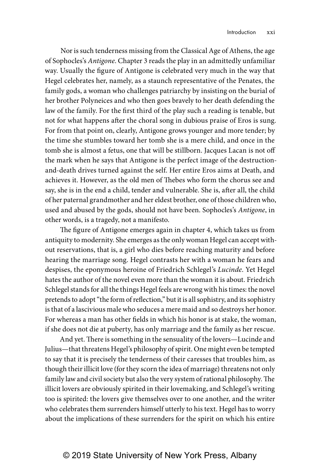Nor is such tenderness missing from the Classical Age of Athens, the age of Sophocles's *Antigone*. Chapter 3 reads the play in an admittedly unfamiliar way. Usually the figure of Antigone is celebrated very much in the way that Hegel celebrates her, namely, as a staunch representative of the Penates, the family gods, a woman who challenges patriarchy by insisting on the burial of her brother Polyneices and who then goes bravely to her death defending the law of the family. For the first third of the play such a reading is tenable, but not for what happens after the choral song in dubious praise of Eros is sung. For from that point on, clearly, Antigone grows younger and more tender; by the time she stumbles toward her tomb she is a mere child, and once in the tomb she is almost a fetus, one that will be stillborn. Jacques Lacan is not off the mark when he says that Antigone is the perfect image of the destructionand-death drives turned against the self. Her entire Eros aims at Death, and achieves it. However, as the old men of Thebes who form the chorus see and say, she is in the end a child, tender and vulnerable. She is, after all, the child of her paternal grandmother and her eldest brother, one of those children who, used and abused by the gods, should not have been. Sophocles's *Antigone*, in other words, is a tragedy, not a manifesto.

The figure of Antigone emerges again in chapter 4, which takes us from antiquity to modernity. She emerges as the only woman Hegel can accept without reservations, that is, a girl who dies before reaching maturity and before hearing the marriage song. Hegel contrasts her with a woman he fears and despises, the eponymous heroine of Friedrich Schlegel's *Lucinde*. Yet Hegel hates the author of the novel even more than the woman it is about. Friedrich Schlegel stands for all the things Hegel feels are wrong with his times: the novel pretends to adopt "the form of reflection," but it is all sophistry, and its sophistry is that of a lascivious male who seduces a mere maid and so destroys her honor. For whereas a man has other fields in which his honor is at stake, the woman, if she does not die at puberty, has only marriage and the family as her rescue.

And yet. There is something in the sensuality of the lovers—Lucinde and Julius—that threatens Hegel's philosophy of spirit. One might even be tempted to say that it is precisely the tenderness of their caresses that troubles him, as though their illicit love (for they scorn the idea of marriage) threatens not only family law and civil society but also the very system of rational philosophy. The illicit lovers are obviously spirited in their lovemaking, and Schlegel's writing too is spirited: the lovers give themselves over to one another, and the writer who celebrates them surrenders himself utterly to his text. Hegel has to worry about the implications of these surrenders for the spirit on which his entire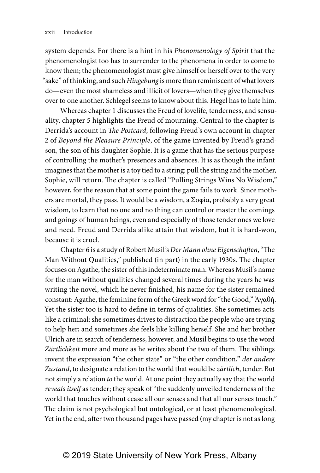system depends. For there is a hint in his *Phenomenology of Spirit* that the phenomenologist too has to surrender to the phenomena in order to come to know them; the phenomenologist must give himself or herself over to the very "sake" of thinking, and such *Hingebung* is more than reminiscent of what lovers do—even the most shameless and illicit of lovers—when they give themselves over to one another. Schlegel seems to know about this. Hegel has to hate him.

Whereas chapter 1 discusses the Freud of lovelife, tenderness, and sensuality, chapter 5 highlights the Freud of mourning. Central to the chapter is Derrida's account in *The Postcard*, following Freud's own account in chapter 2 of *Beyond the Pleasure Principle*, of the game invented by Freud's grandson, the son of his daughter Sophie. It is a game that has the serious purpose of controlling the mother's presences and absences. It is as though the infant imagines that the mother is a toy tied to a string: pull the string and the mother, Sophie, will return. The chapter is called "Pulling Strings Wins No Wisdom," however, for the reason that at some point the game fails to work. Since mothers are mortal, they pass. It would be a wisdom, a Σοφία, probably a very great wisdom, to learn that no one and no thing can control or master the comings and goings of human beings, even and especially of those tender ones we love and need. Freud and Derrida alike attain that wisdom, but it is hard-won, because it is cruel.

Chapter 6 is a study of Robert Musil's *Der Mann ohne Eigenschaften*, "The Man Without Qualities," published (in part) in the early 1930s. The chapter focuses on Agathe, the sister of this indeterminate man. Whereas Musil's name for the man without qualities changed several times during the years he was writing the novel, which he never finished, his name for the sister remained constant: Agathe, the feminine form of the Greek word for "the Good," Ἀγαθή. Yet the sister too is hard to define in terms of qualities. She sometimes acts like a criminal; she sometimes drives to distraction the people who are trying to help her; and sometimes she feels like killing herself. She and her brother Ulrich are in search of tenderness, however, and Musil begins to use the word *Zärtlichkeit* more and more as he writes about the two of them. The siblings invent the expression "the other state" or "the other condition," *der andere Zustand*, to designate a relation to the world that would be *zärtlich*, tender. But not simply a relation *to* the world. At one point they actually say that the world *reveals itself* as tender; they speak of "the suddenly unveiled tenderness of the world that touches without cease all our senses and that all our senses touch." The claim is not psychological but ontological, or at least phenomenological. Yet in the end, after two thousand pages have passed (my chapter is not as long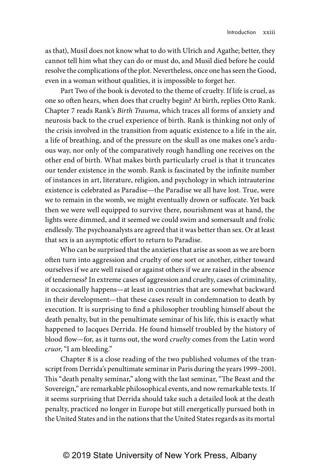as that), Musil does not know what to do with Ulrich and Agathe; better, they cannot tell him what they can do or must do, and Musil died before he could resolve the complications of the plot. Nevertheless, once one has seen the Good, even in a woman without qualities, it is impossible to forget her.

Part Two of the book is devoted to the theme of cruelty. If life is cruel, as one so often hears, when does that cruelty begin? At birth, replies Otto Rank. Chapter 7 reads Rank's *Birth Trauma*, which traces all forms of anxiety and neurosis back to the cruel experience of birth. Rank is thinking not only of the crisis involved in the transition from aquatic existence to a life in the air, a life of breathing, and of the pressure on the skull as one makes one's arduous way, nor only of the comparatively rough handling one receives on the other end of birth. What makes birth particularly cruel is that it truncates our tender existence in the womb. Rank is fascinated by the infinite number of instances in art, literature, religion, and psychology in which intrauterine existence is celebrated as Paradise—the Paradise we all have lost. True, were we to remain in the womb, we might eventually drown or suffocate. Yet back then we were well equipped to survive there, nourishment was at hand, the lights were dimmed, and it seemed we could swim and somersault and frolic endlessly. The psychoanalysts are agreed that it was better than sex. Or at least that sex is an asymptotic effort to return to Paradise.

Who can be surprised that the anxieties that arise as soon as we are born often turn into aggression and cruelty of one sort or another, either toward ourselves if we are well raised or against others if we are raised in the absence of tenderness? In extreme cases of aggression and cruelty, cases of criminality, it occasionally happens—at least in countries that are somewhat backward in their development—that these cases result in condemnation to death by execution. It is surprising to find a philosopher troubling himself about the death penalty, but in the penultimate seminar of his life, this is exactly what happened to Jacques Derrida. He found himself troubled by the history of blood flow—for, as it turns out, the word *cruelty* comes from the Latin word *cruor*, "I am bleeding."

Chapter 8 is a close reading of the two published volumes of the transcript from Derrida's penultimate seminar in Paris during the years 1999–2001. This "death penalty seminar," along with the last seminar, "The Beast and the Sovereign," are remarkable philosophical events, and now remarkable texts. If it seems surprising that Derrida should take such a detailed look at the death penalty, practiced no longer in Europe but still energetically pursued both in the United States and in the nations that the United States regards as its mortal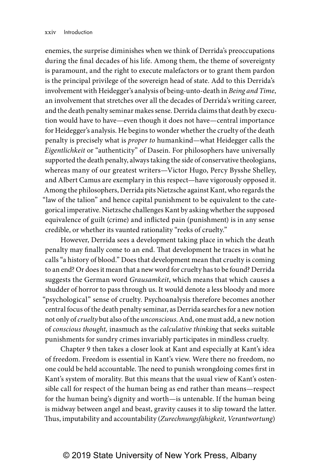enemies, the surprise diminishes when we think of Derrida's preoccupations during the final decades of his life. Among them, the theme of sovereignty is paramount, and the right to execute malefactors or to grant them pardon is the principal privilege of the sovereign head of state. Add to this Derrida's involvement with Heidegger's analysis of being- unto- death in *Being and Time*, an involvement that stretches over all the decades of Derrida's writing career, and the death penalty seminar makes sense. Derrida claims that death by execution would have to have—even though it does not have—central importance for Heidegger's analysis. He begins to wonder whether the cruelty of the death penalty is precisely what is *proper to* humankind—what Heidegger calls the *Eigentlichkeit* or "authenticity" of Dasein. For philosophers have universally supported the death penalty, always taking the side of conservative theologians, whereas many of our greatest writers—Victor Hugo, Percy Bysshe Shelley, and Albert Camus are exemplary in this respect—have vigorously opposed it. Among the philosophers, Derrida pits Nietzsche against Kant, who regards the "law of the talion" and hence capital punishment to be equivalent to the categorical imperative. Nietzsche challenges Kant by asking whether the supposed equivalence of guilt (crime) and inflicted pain (punishment) is in any sense credible, or whether its vaunted rationality "reeks of cruelty."

However, Derrida sees a development taking place in which the death penalty may finally come to an end. That development he traces in what he calls "a history of blood." Does that development mean that cruelty is coming to an end? Or does it mean that a new word for cruelty has to be found? Derrida suggests the German word *Grausamkeit*, which means that which causes a shudder of horror to pass through us. It would denote a less bloody and more "psychological" sense of cruelty. Psychoanalysis therefore becomes another central focus of the death penalty seminar, as Derrida searches for a new notion not only of *cruelty* but also of the *unconscious*. And, one must add, a new notion of *conscious thought,* inasmuch as the *calculative thinking* that seeks suitable punishments for sundry crimes invariably participates in mindless cruelty.

Chapter 9 then takes a closer look at Kant and especially at Kant's idea of freedom. Freedom is essential in Kant's view. Were there no freedom, no one could be held accountable. The need to punish wrongdoing comes first in Kant's system of morality. But this means that the usual view of Kant's ostensible call for respect of the human being as end rather than means—respect for the human being's dignity and worth—is untenable. If the human being is midway between angel and beast, gravity causes it to slip toward the latter. Thus, imputability and accountability (*Zurechnungsfähigkeit, Verantwortung*)